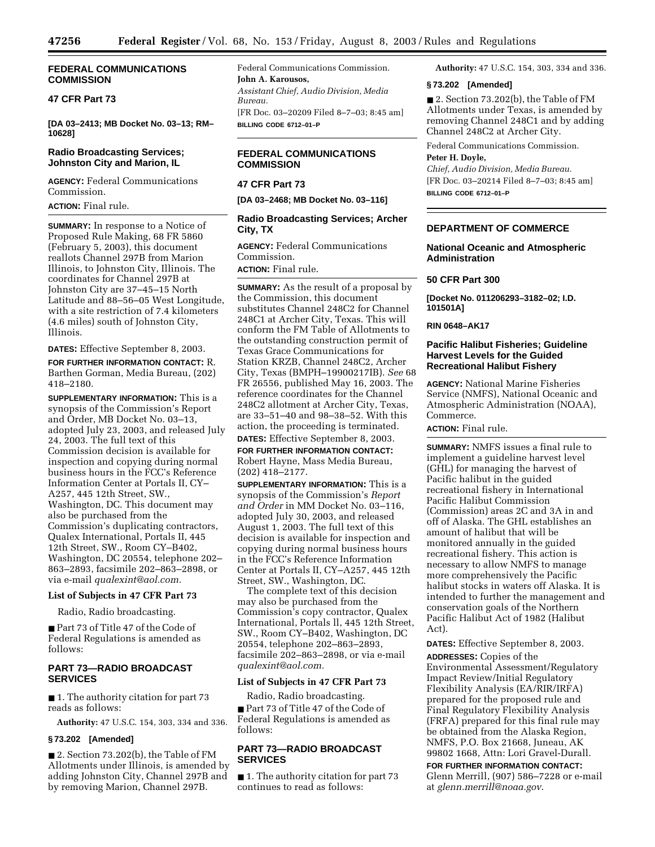### **FEDERAL COMMUNICATIONS COMMISSION**

# **47 CFR Part 73**

**[DA 03–2413; MB Docket No. 03–13; RM– 10628]** 

### **Radio Broadcasting Services; Johnston City and Marion, IL**

**AGENCY:** Federal Communications Commission.

#### **ACTION:** Final rule.

**SUMMARY:** In response to a Notice of Proposed Rule Making, 68 FR 5860 (February 5, 2003), this document reallots Channel 297B from Marion Illinois, to Johnston City, Illinois. The coordinates for Channel 297B at Johnston City are 37–45–15 North Latitude and 88–56–05 West Longitude, with a site restriction of 7.4 kilometers (4.6 miles) south of Johnston City, Illinois.

**DATES:** Effective September 8, 2003.

**FOR FURTHER INFORMATION CONTACT:** R. Barthen Gorman, Media Bureau, (202) 418–2180.

**SUPPLEMENTARY INFORMATION:** This is a synopsis of the Commission's Report and Order, MB Docket No. 03–13, adopted July 23, 2003, and released July 24, 2003. The full text of this Commission decision is available for inspection and copying during normal business hours in the FCC's Reference Information Center at Portals II, CY– A257, 445 12th Street, SW., Washington, DC. This document may also be purchased from the Commission's duplicating contractors, Qualex International, Portals II, 445 12th Street, SW., Room CY–B402, Washington, DC 20554, telephone 202– 863–2893, facsimile 202–863–2898, or via e-mail *[qualexint@aol.com.](mailto:qualixint@aol.com)*

### **List of Subjects in 47 CFR Part 73**

Radio, Radio broadcasting.

■ Part 73 of Title 47 of the Code of Federal Regulations is amended as follows:

# **PART 73—RADIO BROADCAST SERVICES**

■ 1. The authority citation for part 73 reads as follows:

**Authority:** 47 U.S.C. 154, 303, 334 and 336.

# **§ 73.202 [Amended]**

■ 2. Section 73.202(b), the Table of FM Allotments under Illinois, is amended by adding Johnston City, Channel 297B and by removing Marion, Channel 297B.

Federal Communications Commission. **John A. Karousos,**  *Assistant Chief, Audio Division, Media Bureau.* [FR Doc. 03–20209 Filed 8–7–03; 8:45 am] **BILLING CODE 6712–01–P**

# **FEDERAL COMMUNICATIONS COMMISSION**

# **47 CFR Part 73**

**[DA 03–2468; MB Docket No. 03–116]** 

### **Radio Broadcasting Services; Archer City, TX**

**AGENCY:** Federal Communications Commission.

**ACTION:** Final rule.

**SUMMARY:** As the result of a proposal by the Commission, this document substitutes Channel 248C2 for Channel 248C1 at Archer City, Texas. This will conform the FM Table of Allotments to the outstanding construction permit of Texas Grace Communications for Station KRZB, Channel 248C2, Archer City, Texas (BMPH–19900217IB). *See* 68 FR 26556, published May 16, 2003. The reference coordinates for the Channel 248C2 allotment at Archer City, Texas, are 33–51–40 and 98–38–52. With this action, the proceeding is terminated.

**DATES:** Effective September 8, 2003. **FOR FURTHER INFORMATION CONTACT:** Robert Hayne, Mass Media Bureau, (202) 418–2177.

**SUPPLEMENTARY INFORMATION:** This is a synopsis of the Commission's *Report and Order* in MM Docket No. 03–116, adopted July 30, 2003, and released August 1, 2003. The full text of this decision is available for inspection and copying during normal business hours in the FCC's Reference Information Center at Portals II, CY–A257, 445 12th Street, SW., Washington, DC.

The complete text of this decision may also be purchased from the Commission's copy contractor, Qualex International, Portals ll, 445 12th Street, SW., Room CY–B402, Washington, DC 20554, telephone 202–863–2893, facsimile 202–863–2898, or via e-mail *[qualexint@aol.com.](mailto:qualixint@aol.com)*

#### **List of Subjects in 47 CFR Part 73**

Radio, Radio broadcasting. ■ Part 73 of Title 47 of the Code of Federal Regulations is amended as follows:

# **PART 73—RADIO BROADCAST SERVICES**

■ 1. The authority citation for part 73 continues to read as follows:

**Authority:** 47 U.S.C. 154, 303, 334 and 336.

### **§ 73.202 [Amended]**

■ 2. Section 73.202(b), the Table of FM Allotments under Texas, is amended by removing Channel 248C1 and by adding Channel 248C2 at Archer City.

Federal Communications Commission.

# **Peter H. Doyle,**

*Chief, Audio Division, Media Bureau.* [FR Doc. 03–20214 Filed 8–7–03; 8:45 am] **BILLING CODE 6712–01–P**

### **DEPARTMENT OF COMMERCE**

### **National Oceanic and Atmospheric Administration**

#### **50 CFR Part 300**

**[Docket No. 011206293–3182–02; I.D. 101501A]**

#### **RIN 0648–AK17**

### **Pacific Halibut Fisheries; Guideline Harvest Levels for the Guided Recreational Halibut Fishery**

**AGENCY:** National Marine Fisheries Service (NMFS), National Oceanic and Atmospheric Administration (NOAA), Commerce.

**ACTION:** Final rule.

**SUMMARY:** NMFS issues a final rule to implement a guideline harvest level (GHL) for managing the harvest of Pacific halibut in the guided recreational fishery in International Pacific Halibut Commission (Commission) areas 2C and 3A in and off of Alaska. The GHL establishes an amount of halibut that will be monitored annually in the guided recreational fishery. This action is necessary to allow NMFS to manage more comprehensively the Pacific halibut stocks in waters off Alaska. It is intended to further the management and conservation goals of the Northern Pacific Halibut Act of 1982 (Halibut Act).

**DATES:** Effective September 8, 2003.

**ADDRESSES:** Copies of the Environmental Assessment/Regulatory Impact Review/Initial Regulatory Flexibility Analysis (EA/RIR/IRFA) prepared for the proposed rule and Final Regulatory Flexibility Analysis (FRFA) prepared for this final rule may be obtained from the Alaska Region, NMFS, P.O. Box 21668, Juneau, AK 99802 1668, Attn: Lori Gravel-Durall.

**FOR FURTHER INFORMATION CONTACT:** Glenn Merrill, (907) 586–7228 or e-mail at *[glenn.merrill@noaa.gov](mailto:glenn.merrill@noaa.gov)*.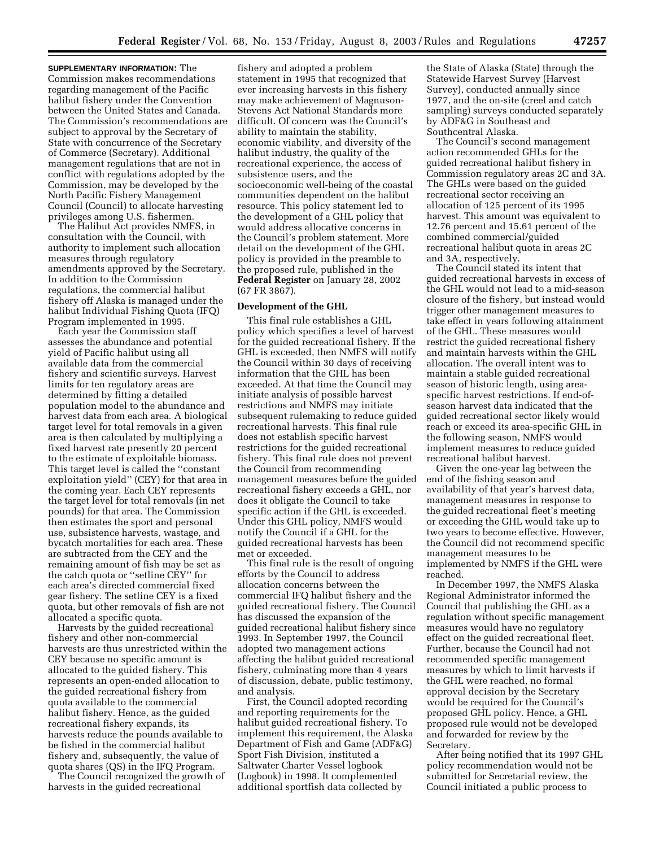**SUPPLEMENTARY INFORMATION:** The Commission makes recommendations regarding management of the Pacific halibut fishery under the Convention between the United States and Canada. The Commission's recommendations are subject to approval by the Secretary of State with concurrence of the Secretary of Commerce (Secretary). Additional management regulations that are not in conflict with regulations adopted by the Commission, may be developed by the North Pacific Fishery Management Council (Council) to allocate harvesting privileges among U.S. fishermen.

The Halibut Act provides NMFS, in consultation with the Council, with authority to implement such allocation measures through regulatory amendments approved by the Secretary. In addition to the Commission regulations, the commercial halibut fishery off Alaska is managed under the halibut Individual Fishing Quota (IFQ) Program implemented in 1995.

Each year the Commission staff assesses the abundance and potential yield of Pacific halibut using all available data from the commercial fishery and scientific surveys. Harvest limits for ten regulatory areas are determined by fitting a detailed population model to the abundance and harvest data from each area. A biological target level for total removals in a given area is then calculated by multiplying a fixed harvest rate presently 20 percent to the estimate of exploitable biomass. This target level is called the ''constant exploitation yield'' (CEY) for that area in the coming year. Each CEY represents the target level for total removals (in net pounds) for that area. The Commission then estimates the sport and personal use, subsistence harvests, wastage, and bycatch mortalities for each area. These are subtracted from the CEY and the remaining amount of fish may be set as the catch quota or ''setline CEY'' for each area's directed commercial fixed gear fishery. The setline CEY is a fixed quota, but other removals of fish are not allocated a specific quota.

Harvests by the guided recreational fishery and other non-commercial harvests are thus unrestricted within the CEY because no specific amount is allocated to the guided fishery. This represents an open-ended allocation to the guided recreational fishery from quota available to the commercial halibut fishery. Hence, as the guided recreational fishery expands, its harvests reduce the pounds available to be fished in the commercial halibut fishery and, subsequently, the value of quota shares (QS) in the IFQ Program.

The Council recognized the growth of harvests in the guided recreational

fishery and adopted a problem statement in 1995 that recognized that ever increasing harvests in this fishery may make achievement of Magnuson-Stevens Act National Standards more difficult. Of concern was the Council's ability to maintain the stability, economic viability, and diversity of the halibut industry, the quality of the recreational experience, the access of subsistence users, and the socioeconomic well-being of the coastal communities dependent on the halibut resource. This policy statement led to the development of a GHL policy that would address allocative concerns in the Council's problem statement. More detail on the development of the GHL policy is provided in the preamble to the proposed rule, published in the **Federal Register** on January 28, 2002 (67 FR 3867).

#### **Development of the GHL**

This final rule establishes a GHL policy which specifies a level of harvest for the guided recreational fishery. If the GHL is exceeded, then NMFS will notify the Council within 30 days of receiving information that the GHL has been exceeded. At that time the Council may initiate analysis of possible harvest restrictions and NMFS may initiate subsequent rulemaking to reduce guided recreational harvests. This final rule does not establish specific harvest restrictions for the guided recreational fishery. This final rule does not prevent the Council from recommending management measures before the guided recreational fishery exceeds a GHL, nor does it obligate the Council to take specific action if the GHL is exceeded. Under this GHL policy, NMFS would notify the Council if a GHL for the guided recreational harvests has been met or exceeded.

This final rule is the result of ongoing efforts by the Council to address allocation concerns between the commercial IFQ halibut fishery and the guided recreational fishery. The Council has discussed the expansion of the guided recreational halibut fishery since 1993. In September 1997, the Council adopted two management actions affecting the halibut guided recreational fishery, culminating more than 4 years of discussion, debate, public testimony, and analysis.

First, the Council adopted recording and reporting requirements for the halibut guided recreational fishery. To implement this requirement, the Alaska Department of Fish and Game (ADF&G) Sport Fish Division, instituted a Saltwater Charter Vessel logbook (Logbook) in 1998. It complemented additional sportfish data collected by

the State of Alaska (State) through the Statewide Harvest Survey (Harvest Survey), conducted annually since 1977, and the on-site (creel and catch sampling) surveys conducted separately by ADF&G in Southeast and Southcentral Alaska.

The Council's second management action recommended GHLs for the guided recreational halibut fishery in Commission regulatory areas 2C and 3A. The GHLs were based on the guided recreational sector receiving an allocation of 125 percent of its 1995 harvest. This amount was equivalent to 12.76 percent and 15.61 percent of the combined commercial/guided recreational halibut quota in areas 2C and 3A, respectively.

The Council stated its intent that guided recreational harvests in excess of the GHL would not lead to a mid-season closure of the fishery, but instead would trigger other management measures to take effect in years following attainment of the GHL. These measures would restrict the guided recreational fishery and maintain harvests within the GHL allocation. The overall intent was to maintain a stable guided recreational season of historic length, using areaspecific harvest restrictions. If end-ofseason harvest data indicated that the guided recreational sector likely would reach or exceed its area-specific GHL in the following season, NMFS would implement measures to reduce guided recreational halibut harvest.

Given the one-year lag between the end of the fishing season and availability of that year's harvest data, management measures in response to the guided recreational fleet's meeting or exceeding the GHL would take up to two years to become effective. However, the Council did not recommend specific management measures to be implemented by NMFS if the GHL were reached.

In December 1997, the NMFS Alaska Regional Administrator informed the Council that publishing the GHL as a regulation without specific management measures would have no regulatory effect on the guided recreational fleet. Further, because the Council had not recommended specific management measures by which to limit harvests if the GHL were reached, no formal approval decision by the Secretary would be required for the Council's proposed GHL policy. Hence, a GHL proposed rule would not be developed and forwarded for review by the Secretary.

After being notified that its 1997 GHL policy recommendation would not be submitted for Secretarial review, the Council initiated a public process to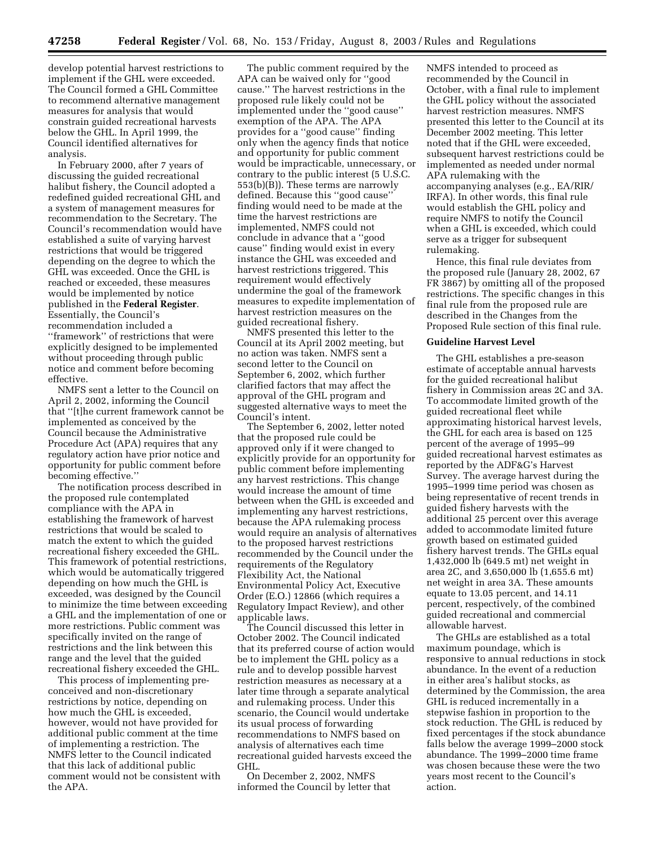develop potential harvest restrictions to implement if the GHL were exceeded. The Council formed a GHL Committee to recommend alternative management measures for analysis that would constrain guided recreational harvests below the GHL. In April 1999, the Council identified alternatives for analysis.

In February 2000, after 7 years of discussing the guided recreational halibut fishery, the Council adopted a redefined guided recreational GHL and a system of management measures for recommendation to the Secretary. The Council's recommendation would have established a suite of varying harvest restrictions that would be triggered depending on the degree to which the GHL was exceeded. Once the GHL is reached or exceeded, these measures would be implemented by notice published in the **Federal Register**. Essentially, the Council's recommendation included a ''framework'' of restrictions that were explicitly designed to be implemented without proceeding through public notice and comment before becoming effective.

NMFS sent a letter to the Council on April 2, 2002, informing the Council that ''[t]he current framework cannot be implemented as conceived by the Council because the Administrative Procedure Act (APA) requires that any regulatory action have prior notice and opportunity for public comment before becoming effective.''

The notification process described in the proposed rule contemplated compliance with the APA in establishing the framework of harvest restrictions that would be scaled to match the extent to which the guided recreational fishery exceeded the GHL. This framework of potential restrictions, which would be automatically triggered depending on how much the GHL is exceeded, was designed by the Council to minimize the time between exceeding a GHL and the implementation of one or more restrictions. Public comment was specifically invited on the range of restrictions and the link between this range and the level that the guided recreational fishery exceeded the GHL.

This process of implementing preconceived and non-discretionary restrictions by notice, depending on how much the GHL is exceeded, however, would not have provided for additional public comment at the time of implementing a restriction. The NMFS letter to the Council indicated that this lack of additional public comment would not be consistent with the APA.

The public comment required by the APA can be waived only for ''good cause.'' The harvest restrictions in the proposed rule likely could not be implemented under the ''good cause'' exemption of the APA. The APA provides for a ''good cause'' finding only when the agency finds that notice and opportunity for public comment would be impracticable, unnecessary, or contrary to the public interest (5 U.S.C. 553(b)(B)). These terms are narrowly defined. Because this ''good cause'' finding would need to be made at the time the harvest restrictions are implemented, NMFS could not conclude in advance that a ''good cause'' finding would exist in every instance the GHL was exceeded and harvest restrictions triggered. This requirement would effectively undermine the goal of the framework measures to expedite implementation of harvest restriction measures on the guided recreational fishery.

NMFS presented this letter to the Council at its April 2002 meeting, but no action was taken. NMFS sent a second letter to the Council on September 6, 2002, which further clarified factors that may affect the approval of the GHL program and suggested alternative ways to meet the Council's intent.

The September 6, 2002, letter noted that the proposed rule could be approved only if it were changed to explicitly provide for an opportunity for public comment before implementing any harvest restrictions. This change would increase the amount of time between when the GHL is exceeded and implementing any harvest restrictions, because the APA rulemaking process would require an analysis of alternatives to the proposed harvest restrictions recommended by the Council under the requirements of the Regulatory Flexibility Act, the National Environmental Policy Act, Executive Order (E.O.) 12866 (which requires a Regulatory Impact Review), and other applicable laws.

The Council discussed this letter in October 2002. The Council indicated that its preferred course of action would be to implement the GHL policy as a rule and to develop possible harvest restriction measures as necessary at a later time through a separate analytical and rulemaking process. Under this scenario, the Council would undertake its usual process of forwarding recommendations to NMFS based on analysis of alternatives each time recreational guided harvests exceed the GHL.

On December 2, 2002, NMFS informed the Council by letter that NMFS intended to proceed as recommended by the Council in October, with a final rule to implement the GHL policy without the associated harvest restriction measures. NMFS presented this letter to the Council at its December 2002 meeting. This letter noted that if the GHL were exceeded, subsequent harvest restrictions could be implemented as needed under normal APA rulemaking with the accompanying analyses (e.g., EA/RIR/ IRFA). In other words, this final rule would establish the GHL policy and require NMFS to notify the Council when a GHL is exceeded, which could serve as a trigger for subsequent rulemaking.

Hence, this final rule deviates from the proposed rule (January 28, 2002, 67 FR 3867) by omitting all of the proposed restrictions. The specific changes in this final rule from the proposed rule are described in the Changes from the Proposed Rule section of this final rule.

### **Guideline Harvest Level**

The GHL establishes a pre-season estimate of acceptable annual harvests for the guided recreational halibut fishery in Commission areas 2C and 3A. To accommodate limited growth of the guided recreational fleet while approximating historical harvest levels, the GHL for each area is based on 125 percent of the average of 1995–99 guided recreational harvest estimates as reported by the ADF&G's Harvest Survey. The average harvest during the 1995–1999 time period was chosen as being representative of recent trends in guided fishery harvests with the additional 25 percent over this average added to accommodate limited future growth based on estimated guided fishery harvest trends. The GHLs equal 1,432,000 lb (649.5 mt) net weight in area 2C, and 3,650,000 lb (1,655.6 mt) net weight in area 3A. These amounts equate to 13.05 percent, and 14.11 percent, respectively, of the combined guided recreational and commercial allowable harvest.

The GHLs are established as a total maximum poundage, which is responsive to annual reductions in stock abundance. In the event of a reduction in either area's halibut stocks, as determined by the Commission, the area GHL is reduced incrementally in a stepwise fashion in proportion to the stock reduction. The GHL is reduced by fixed percentages if the stock abundance falls below the average 1999–2000 stock abundance. The 1999–2000 time frame was chosen because these were the two years most recent to the Council's action.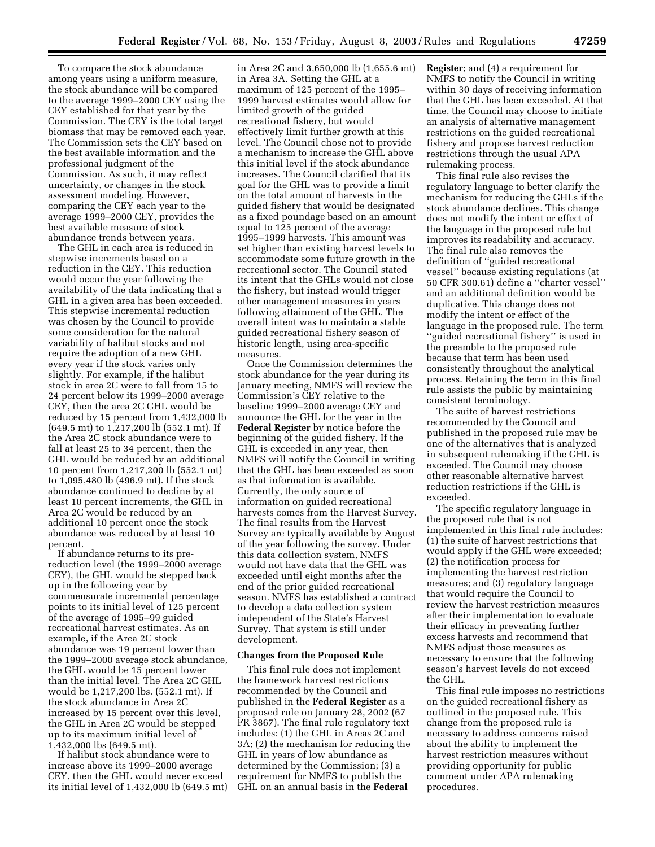To compare the stock abundance among years using a uniform measure, the stock abundance will be compared to the average 1999–2000 CEY using the CEY established for that year by the Commission. The CEY is the total target biomass that may be removed each year. The Commission sets the CEY based on the best available information and the professional judgment of the Commission. As such, it may reflect uncertainty, or changes in the stock assessment modeling. However, comparing the CEY each year to the average 1999–2000 CEY, provides the best available measure of stock abundance trends between years.

The GHL in each area is reduced in stepwise increments based on a reduction in the CEY. This reduction would occur the year following the availability of the data indicating that a GHL in a given area has been exceeded. This stepwise incremental reduction was chosen by the Council to provide some consideration for the natural variability of halibut stocks and not require the adoption of a new GHL every year if the stock varies only slightly. For example, if the halibut stock in area 2C were to fall from 15 to 24 percent below its 1999–2000 average CEY, then the area 2C GHL would be reduced by 15 percent from 1,432,000 lb (649.5 mt) to 1,217,200 lb (552.1 mt). If the Area 2C stock abundance were to fall at least 25 to 34 percent, then the GHL would be reduced by an additional 10 percent from 1,217,200 lb (552.1 mt) to 1,095,480 lb (496.9 mt). If the stock abundance continued to decline by at least 10 percent increments, the GHL in Area 2C would be reduced by an additional 10 percent once the stock abundance was reduced by at least 10 percent.

If abundance returns to its prereduction level (the 1999–2000 average CEY), the GHL would be stepped back up in the following year by commensurate incremental percentage points to its initial level of 125 percent of the average of 1995–99 guided recreational harvest estimates. As an example, if the Area 2C stock abundance was 19 percent lower than the 1999–2000 average stock abundance, the GHL would be 15 percent lower than the initial level. The Area 2C GHL would be 1,217,200 lbs. (552.1 mt). If the stock abundance in Area 2C increased by 15 percent over this level, the GHL in Area 2C would be stepped up to its maximum initial level of 1,432,000 lbs (649.5 mt).

If halibut stock abundance were to increase above its 1999–2000 average CEY, then the GHL would never exceed its initial level of 1,432,000 lb (649.5 mt)

in Area 2C and 3,650,000 lb (1,655.6 mt) in Area 3A. Setting the GHL at a maximum of 125 percent of the 1995– 1999 harvest estimates would allow for limited growth of the guided recreational fishery, but would effectively limit further growth at this level. The Council chose not to provide a mechanism to increase the GHL above this initial level if the stock abundance increases. The Council clarified that its goal for the GHL was to provide a limit on the total amount of harvests in the guided fishery that would be designated as a fixed poundage based on an amount equal to 125 percent of the average 1995–1999 harvests. This amount was set higher than existing harvest levels to accommodate some future growth in the recreational sector. The Council stated its intent that the GHLs would not close the fishery, but instead would trigger other management measures in years following attainment of the GHL. The overall intent was to maintain a stable guided recreational fishery season of historic length, using area-specific measures.

Once the Commission determines the stock abundance for the year during its January meeting, NMFS will review the Commission's CEY relative to the baseline 1999–2000 average CEY and announce the GHL for the year in the **Federal Register** by notice before the beginning of the guided fishery. If the GHL is exceeded in any year, then NMFS will notify the Council in writing that the GHL has been exceeded as soon as that information is available. Currently, the only source of information on guided recreational harvests comes from the Harvest Survey. The final results from the Harvest Survey are typically available by August of the year following the survey. Under this data collection system, NMFS would not have data that the GHL was exceeded until eight months after the end of the prior guided recreational season. NMFS has established a contract to develop a data collection system independent of the State's Harvest Survey. That system is still under development.

#### **Changes from the Proposed Rule**

This final rule does not implement the framework harvest restrictions recommended by the Council and published in the **Federal Register** as a proposed rule on January 28, 2002 (67 FR 3867). The final rule regulatory text includes: (1) the GHL in Areas 2C and 3A; (2) the mechanism for reducing the GHL in years of low abundance as determined by the Commission; (3) a requirement for NMFS to publish the GHL on an annual basis in the **Federal** 

**Register**; and (4) a requirement for NMFS to notify the Council in writing within 30 days of receiving information that the GHL has been exceeded. At that time, the Council may choose to initiate an analysis of alternative management restrictions on the guided recreational fishery and propose harvest reduction restrictions through the usual APA rulemaking process.

This final rule also revises the regulatory language to better clarify the mechanism for reducing the GHLs if the stock abundance declines. This change does not modify the intent or effect of the language in the proposed rule but improves its readability and accuracy. The final rule also removes the definition of ''guided recreational vessel'' because existing regulations (at 50 CFR 300.61) define a ''charter vessel'' and an additional definition would be duplicative. This change does not modify the intent or effect of the language in the proposed rule. The term ''guided recreational fishery'' is used in the preamble to the proposed rule because that term has been used consistently throughout the analytical process. Retaining the term in this final rule assists the public by maintaining consistent terminology.

The suite of harvest restrictions recommended by the Council and published in the proposed rule may be one of the alternatives that is analyzed in subsequent rulemaking if the GHL is exceeded. The Council may choose other reasonable alternative harvest reduction restrictions if the GHL is exceeded.

The specific regulatory language in the proposed rule that is not implemented in this final rule includes: (1) the suite of harvest restrictions that would apply if the GHL were exceeded; (2) the notification process for implementing the harvest restriction measures; and (3) regulatory language that would require the Council to review the harvest restriction measures after their implementation to evaluate their efficacy in preventing further excess harvests and recommend that NMFS adjust those measures as necessary to ensure that the following season's harvest levels do not exceed the GHL.

This final rule imposes no restrictions on the guided recreational fishery as outlined in the proposed rule. This change from the proposed rule is necessary to address concerns raised about the ability to implement the harvest restriction measures without providing opportunity for public comment under APA rulemaking procedures.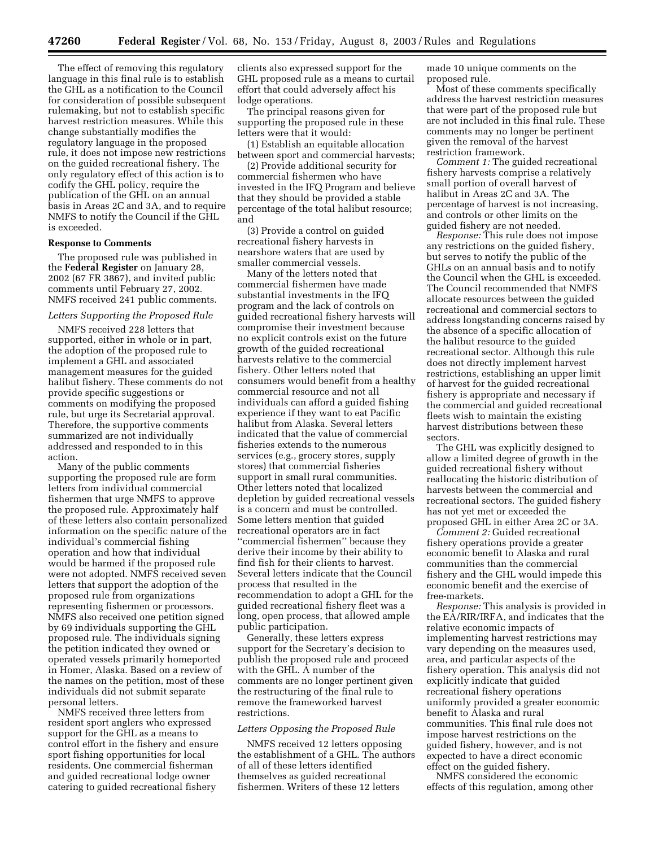The effect of removing this regulatory language in this final rule is to establish the GHL as a notification to the Council for consideration of possible subsequent rulemaking, but not to establish specific harvest restriction measures. While this change substantially modifies the regulatory language in the proposed rule, it does not impose new restrictions on the guided recreational fishery. The only regulatory effect of this action is to codify the GHL policy, require the publication of the GHL on an annual basis in Areas 2C and 3A, and to require NMFS to notify the Council if the GHL is exceeded.

#### **Response to Comments**

The proposed rule was published in the **Federal Register** on January 28, 2002 (67 FR 3867), and invited public comments until February 27, 2002. NMFS received 241 public comments.

#### *Letters Supporting the Proposed Rule*

NMFS received 228 letters that supported, either in whole or in part, the adoption of the proposed rule to implement a GHL and associated management measures for the guided halibut fishery. These comments do not provide specific suggestions or comments on modifying the proposed rule, but urge its Secretarial approval. Therefore, the supportive comments summarized are not individually addressed and responded to in this action.

Many of the public comments supporting the proposed rule are form letters from individual commercial fishermen that urge NMFS to approve the proposed rule. Approximately half of these letters also contain personalized information on the specific nature of the individual's commercial fishing operation and how that individual would be harmed if the proposed rule were not adopted. NMFS received seven letters that support the adoption of the proposed rule from organizations representing fishermen or processors. NMFS also received one petition signed by 69 individuals supporting the GHL proposed rule. The individuals signing the petition indicated they owned or operated vessels primarily homeported in Homer, Alaska. Based on a review of the names on the petition, most of these individuals did not submit separate personal letters.

NMFS received three letters from resident sport anglers who expressed support for the GHL as a means to control effort in the fishery and ensure sport fishing opportunities for local residents. One commercial fisherman and guided recreational lodge owner catering to guided recreational fishery

clients also expressed support for the GHL proposed rule as a means to curtail effort that could adversely affect his lodge operations.

The principal reasons given for supporting the proposed rule in these letters were that it would:

(1) Establish an equitable allocation between sport and commercial harvests;

(2) Provide additional security for commercial fishermen who have invested in the IFQ Program and believe that they should be provided a stable percentage of the total halibut resource; and

(3) Provide a control on guided recreational fishery harvests in nearshore waters that are used by smaller commercial vessels.

Many of the letters noted that commercial fishermen have made substantial investments in the IFQ program and the lack of controls on guided recreational fishery harvests will compromise their investment because no explicit controls exist on the future growth of the guided recreational harvests relative to the commercial fishery. Other letters noted that consumers would benefit from a healthy commercial resource and not all individuals can afford a guided fishing experience if they want to eat Pacific halibut from Alaska. Several letters indicated that the value of commercial fisheries extends to the numerous services (e.g., grocery stores, supply stores) that commercial fisheries support in small rural communities. Other letters noted that localized depletion by guided recreational vessels is a concern and must be controlled. Some letters mention that guided recreational operators are in fact ''commercial fishermen'' because they derive their income by their ability to find fish for their clients to harvest. Several letters indicate that the Council process that resulted in the recommendation to adopt a GHL for the guided recreational fishery fleet was a long, open process, that allowed ample public participation.

Generally, these letters express support for the Secretary's decision to publish the proposed rule and proceed with the GHL. A number of the comments are no longer pertinent given the restructuring of the final rule to remove the frameworked harvest restrictions.

#### *Letters Opposing the Proposed Rule*

NMFS received 12 letters opposing the establishment of a GHL. The authors of all of these letters identified themselves as guided recreational fishermen. Writers of these 12 letters

made 10 unique comments on the proposed rule.

Most of these comments specifically address the harvest restriction measures that were part of the proposed rule but are not included in this final rule. These comments may no longer be pertinent given the removal of the harvest restriction framework.

*Comment 1:* The guided recreational fishery harvests comprise a relatively small portion of overall harvest of halibut in Areas 2C and 3A. The percentage of harvest is not increasing, and controls or other limits on the guided fishery are not needed.

*Response:* This rule does not impose any restrictions on the guided fishery, but serves to notify the public of the GHLs on an annual basis and to notify the Council when the GHL is exceeded. The Council recommended that NMFS allocate resources between the guided recreational and commercial sectors to address longstanding concerns raised by the absence of a specific allocation of the halibut resource to the guided recreational sector. Although this rule does not directly implement harvest restrictions, establishing an upper limit of harvest for the guided recreational fishery is appropriate and necessary if the commercial and guided recreational fleets wish to maintain the existing harvest distributions between these sectors.

The GHL was explicitly designed to allow a limited degree of growth in the guided recreational fishery without reallocating the historic distribution of harvests between the commercial and recreational sectors. The guided fishery has not yet met or exceeded the proposed GHL in either Area 2C or 3A.

*Comment 2:* Guided recreational fishery operations provide a greater economic benefit to Alaska and rural communities than the commercial fishery and the GHL would impede this economic benefit and the exercise of free-markets.

*Response:* This analysis is provided in the EA/RIR/IRFA, and indicates that the relative economic impacts of implementing harvest restrictions may vary depending on the measures used, area, and particular aspects of the fishery operation. This analysis did not explicitly indicate that guided recreational fishery operations uniformly provided a greater economic benefit to Alaska and rural communities. This final rule does not impose harvest restrictions on the guided fishery, however, and is not expected to have a direct economic effect on the guided fishery.

NMFS considered the economic effects of this regulation, among other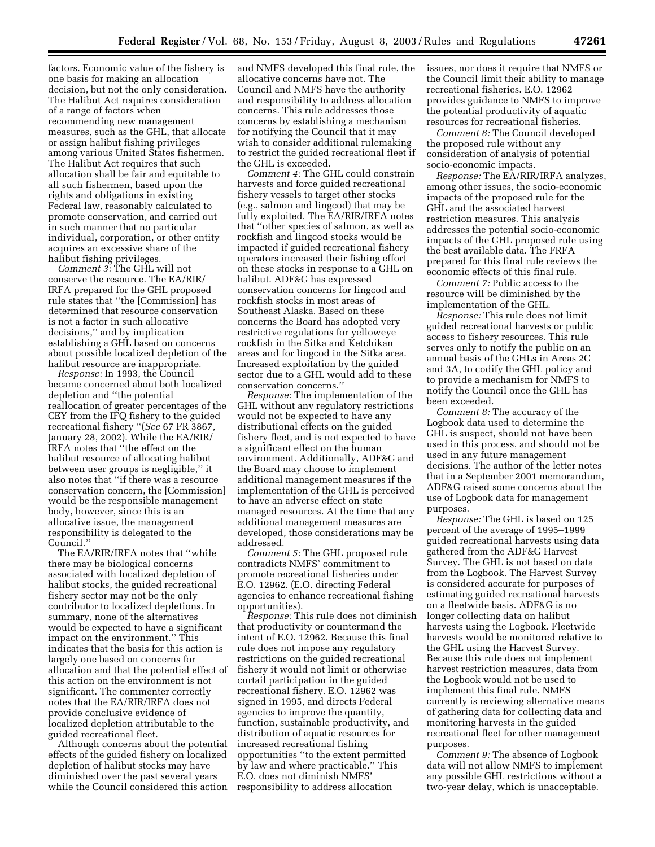factors. Economic value of the fishery is one basis for making an allocation decision, but not the only consideration. The Halibut Act requires consideration of a range of factors when recommending new management measures, such as the GHL, that allocate or assign halibut fishing privileges among various United States fishermen. The Halibut Act requires that such allocation shall be fair and equitable to all such fishermen, based upon the rights and obligations in existing Federal law, reasonably calculated to promote conservation, and carried out in such manner that no particular individual, corporation, or other entity acquires an excessive share of the halibut fishing privileges.

*Comment 3:* The GHL will not conserve the resource. The EA/RIR/ IRFA prepared for the GHL proposed rule states that ''the [Commission] has determined that resource conservation is not a factor in such allocative decisions,'' and by implication establishing a GHL based on concerns about possible localized depletion of the halibut resource are inappropriate.

*Response:* In 1993, the Council became concerned about both localized depletion and ''the potential reallocation of greater percentages of the CEY from the IFQ fishery to the guided recreational fishery ''(*See* 67 FR 3867, January 28, 2002). While the EA/RIR/ IRFA notes that ''the effect on the halibut resource of allocating halibut between user groups is negligible,'' it also notes that ''if there was a resource conservation concern, the [Commission] would be the responsible management body, however, since this is an allocative issue, the management responsibility is delegated to the Council.''

The EA/RIR/IRFA notes that ''while there may be biological concerns associated with localized depletion of halibut stocks, the guided recreational fishery sector may not be the only contributor to localized depletions. In summary, none of the alternatives would be expected to have a significant impact on the environment.'' This indicates that the basis for this action is largely one based on concerns for allocation and that the potential effect of this action on the environment is not significant. The commenter correctly notes that the EA/RIR/IRFA does not provide conclusive evidence of localized depletion attributable to the guided recreational fleet.

Although concerns about the potential effects of the guided fishery on localized depletion of halibut stocks may have diminished over the past several years while the Council considered this action

and NMFS developed this final rule, the allocative concerns have not. The Council and NMFS have the authority and responsibility to address allocation concerns. This rule addresses those concerns by establishing a mechanism for notifying the Council that it may wish to consider additional rulemaking to restrict the guided recreational fleet if the GHL is exceeded.

*Comment 4:* The GHL could constrain harvests and force guided recreational fishery vessels to target other stocks (e.g., salmon and lingcod) that may be fully exploited. The EA/RIR/IRFA notes that ''other species of salmon, as well as rockfish and lingcod stocks would be impacted if guided recreational fishery operators increased their fishing effort on these stocks in response to a GHL on halibut. ADF&G has expressed conservation concerns for lingcod and rockfish stocks in most areas of Southeast Alaska. Based on these concerns the Board has adopted very restrictive regulations for yelloweye rockfish in the Sitka and Ketchikan areas and for lingcod in the Sitka area. Increased exploitation by the guided sector due to a GHL would add to these conservation concerns.''

*Response:* The implementation of the GHL without any regulatory restrictions would not be expected to have any distributional effects on the guided fishery fleet, and is not expected to have a significant effect on the human environment. Additionally, ADF&G and the Board may choose to implement additional management measures if the implementation of the GHL is perceived to have an adverse effect on state managed resources. At the time that any additional management measures are developed, those considerations may be addressed.

*Comment 5:* The GHL proposed rule contradicts NMFS' commitment to promote recreational fisheries under E.O. 12962. (E.O. directing Federal agencies to enhance recreational fishing opportunities).

*Response:* This rule does not diminish that productivity or countermand the intent of E.O. 12962. Because this final rule does not impose any regulatory restrictions on the guided recreational fishery it would not limit or otherwise curtail participation in the guided recreational fishery. E.O. 12962 was signed in 1995, and directs Federal agencies to improve the quantity, function, sustainable productivity, and distribution of aquatic resources for increased recreational fishing opportunities ''to the extent permitted by law and where practicable.'' This E.O. does not diminish NMFS' responsibility to address allocation

issues, nor does it require that NMFS or the Council limit their ability to manage recreational fisheries. E.O. 12962 provides guidance to NMFS to improve the potential productivity of aquatic resources for recreational fisheries.

*Comment 6:* The Council developed the proposed rule without any consideration of analysis of potential socio-economic impacts.

*Response:* The EA/RIR/IRFA analyzes, among other issues, the socio-economic impacts of the proposed rule for the GHL and the associated harvest restriction measures. This analysis addresses the potential socio-economic impacts of the GHL proposed rule using the best available data. The FRFA prepared for this final rule reviews the economic effects of this final rule.

*Comment 7:* Public access to the resource will be diminished by the implementation of the GHL.

*Response:* This rule does not limit guided recreational harvests or public access to fishery resources. This rule serves only to notify the public on an annual basis of the GHLs in Areas 2C and 3A, to codify the GHL policy and to provide a mechanism for NMFS to notify the Council once the GHL has been exceeded.

*Comment 8:* The accuracy of the Logbook data used to determine the GHL is suspect, should not have been used in this process, and should not be used in any future management decisions. The author of the letter notes that in a September 2001 memorandum, ADF&G raised some concerns about the use of Logbook data for management purposes.

*Response:* The GHL is based on 125 percent of the average of 1995–1999 guided recreational harvests using data gathered from the ADF&G Harvest Survey. The GHL is not based on data from the Logbook. The Harvest Survey is considered accurate for purposes of estimating guided recreational harvests on a fleetwide basis. ADF&G is no longer collecting data on halibut harvests using the Logbook. Fleetwide harvests would be monitored relative to the GHL using the Harvest Survey. Because this rule does not implement harvest restriction measures, data from the Logbook would not be used to implement this final rule. NMFS currently is reviewing alternative means of gathering data for collecting data and monitoring harvests in the guided recreational fleet for other management purposes.

*Comment 9:* The absence of Logbook data will not allow NMFS to implement any possible GHL restrictions without a two-year delay, which is unacceptable.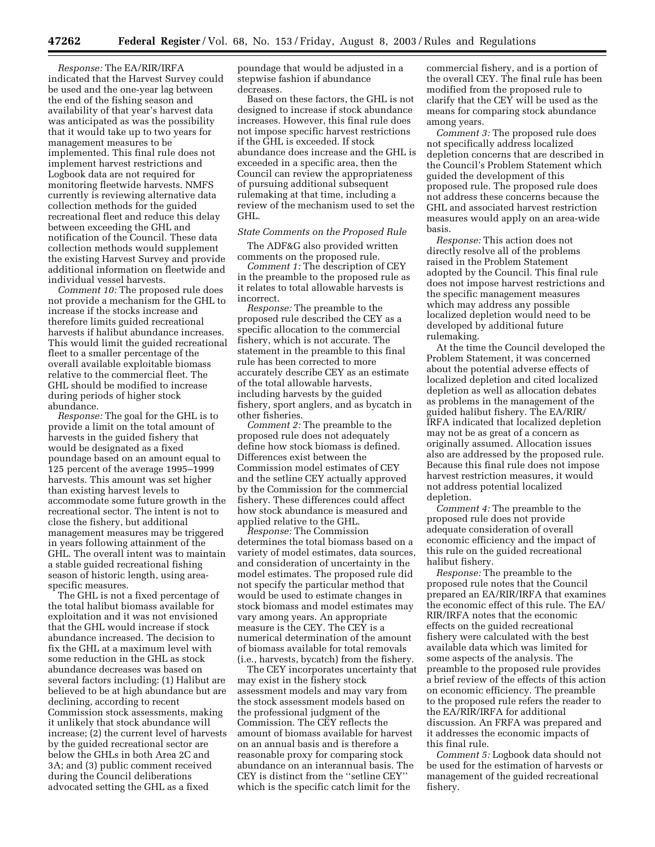*Response:* The EA/RIR/IRFA indicated that the Harvest Survey could be used and the one-year lag between the end of the fishing season and availability of that year's harvest data was anticipated as was the possibility that it would take up to two years for management measures to be implemented. This final rule does not implement harvest restrictions and Logbook data are not required for monitoring fleetwide harvests. NMFS currently is reviewing alternative data collection methods for the guided recreational fleet and reduce this delay between exceeding the GHL and notification of the Council. These data collection methods would supplement the existing Harvest Survey and provide additional information on fleetwide and individual vessel harvests.

*Comment 10:* The proposed rule does not provide a mechanism for the GHL to increase if the stocks increase and therefore limits guided recreational harvests if halibut abundance increases. This would limit the guided recreational fleet to a smaller percentage of the overall available exploitable biomass relative to the commercial fleet. The GHL should be modified to increase during periods of higher stock abundance.

*Response:* The goal for the GHL is to provide a limit on the total amount of harvests in the guided fishery that would be designated as a fixed poundage based on an amount equal to 125 percent of the average 1995–1999 harvests. This amount was set higher than existing harvest levels to accommodate some future growth in the recreational sector. The intent is not to close the fishery, but additional management measures may be triggered in years following attainment of the GHL. The overall intent was to maintain a stable guided recreational fishing season of historic length, using areaspecific measures.

The GHL is not a fixed percentage of the total halibut biomass available for exploitation and it was not envisioned that the GHL would increase if stock abundance increased. The decision to fix the GHL at a maximum level with some reduction in the GHL as stock abundance decreases was based on several factors including: (1) Halibut are believed to be at high abundance but are declining, according to recent Commission stock assessments, making it unlikely that stock abundance will increase; (2) the current level of harvests by the guided recreational sector are below the GHLs in both Area 2C and 3A; and (3) public comment received during the Council deliberations advocated setting the GHL as a fixed

poundage that would be adjusted in a stepwise fashion if abundance decreases.

Based on these factors, the GHL is not designed to increase if stock abundance increases. However, this final rule does not impose specific harvest restrictions if the GHL is exceeded. If stock abundance does increase and the GHL is exceeded in a specific area, then the Council can review the appropriateness of pursuing additional subsequent rulemaking at that time, including a review of the mechanism used to set the GHL.

### *State Comments on the Proposed Rule*

The ADF&G also provided written comments on the proposed rule.

*Comment 1:* The description of CEY in the preamble to the proposed rule as it relates to total allowable harvests is incorrect.

*Response:* The preamble to the proposed rule described the CEY as a specific allocation to the commercial fishery, which is not accurate. The statement in the preamble to this final rule has been corrected to more accurately describe CEY as an estimate of the total allowable harvests, including harvests by the guided fishery, sport anglers, and as bycatch in other fisheries.

*Comment 2:* The preamble to the proposed rule does not adequately define how stock biomass is defined. Differences exist between the Commission model estimates of CEY and the setline CEY actually approved by the Commission for the commercial fishery. These differences could affect how stock abundance is measured and applied relative to the GHL.

*Response:* The Commission determines the total biomass based on a variety of model estimates, data sources, and consideration of uncertainty in the model estimates. The proposed rule did not specify the particular method that would be used to estimate changes in stock biomass and model estimates may vary among years. An appropriate measure is the CEY. The CEY is a numerical determination of the amount of biomass available for total removals (i.e., harvests, bycatch) from the fishery.

The CEY incorporates uncertainty that may exist in the fishery stock assessment models and may vary from the stock assessment models based on the professional judgment of the Commission. The CEY reflects the amount of biomass available for harvest on an annual basis and is therefore a reasonable proxy for comparing stock abundance on an interannual basis. The CEY is distinct from the ''setline CEY'' which is the specific catch limit for the

commercial fishery, and is a portion of the overall CEY. The final rule has been modified from the proposed rule to clarify that the CEY will be used as the means for comparing stock abundance among years.

*Comment 3:* The proposed rule does not specifically address localized depletion concerns that are described in the Council's Problem Statement which guided the development of this proposed rule. The proposed rule does not address these concerns because the GHL and associated harvest restriction measures would apply on an area-wide basis.

*Response:* This action does not directly resolve all of the problems raised in the Problem Statement adopted by the Council. This final rule does not impose harvest restrictions and the specific management measures which may address any possible localized depletion would need to be developed by additional future rulemaking.

At the time the Council developed the Problem Statement, it was concerned about the potential adverse effects of localized depletion and cited localized depletion as well as allocation debates as problems in the management of the guided halibut fishery. The EA/RIR/ IRFA indicated that localized depletion may not be as great of a concern as originally assumed. Allocation issues also are addressed by the proposed rule. Because this final rule does not impose harvest restriction measures, it would not address potential localized depletion.

*Comment 4:* The preamble to the proposed rule does not provide adequate consideration of overall economic efficiency and the impact of this rule on the guided recreational halibut fishery.

*Response:* The preamble to the proposed rule notes that the Council prepared an EA/RIR/IRFA that examines the economic effect of this rule. The EA/ RIR/IRFA notes that the economic effects on the guided recreational fishery were calculated with the best available data which was limited for some aspects of the analysis. The preamble to the proposed rule provides a brief review of the effects of this action on economic efficiency. The preamble to the proposed rule refers the reader to the EA/RIR/IRFA for additional discussion. An FRFA was prepared and it addresses the economic impacts of this final rule.

*Comment 5:* Logbook data should not be used for the estimation of harvests or management of the guided recreational fishery.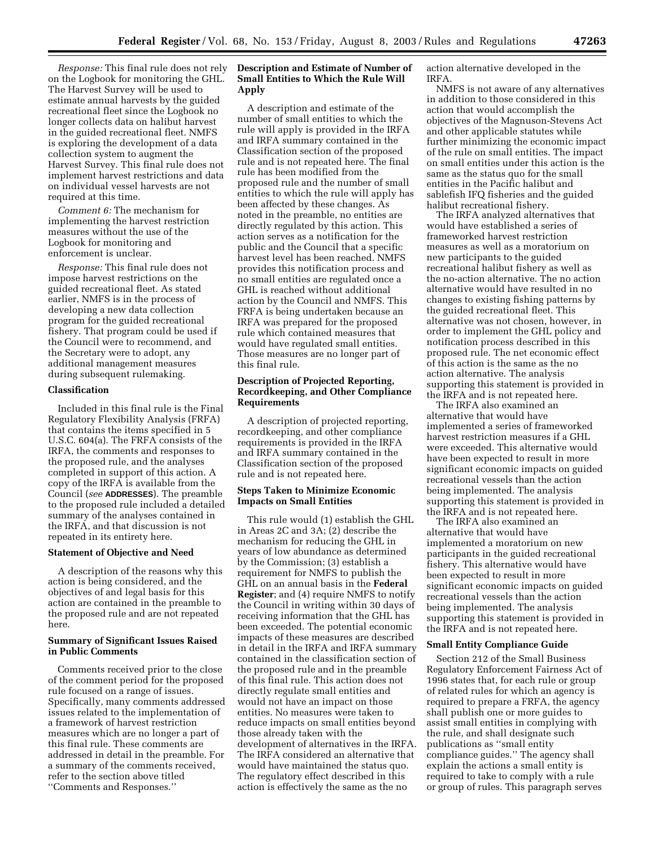*Response:* This final rule does not rely on the Logbook for monitoring the GHL. The Harvest Survey will be used to estimate annual harvests by the guided recreational fleet since the Logbook no longer collects data on halibut harvest in the guided recreational fleet. NMFS is exploring the development of a data collection system to augment the Harvest Survey. This final rule does not implement harvest restrictions and data on individual vessel harvests are not required at this time.

*Comment 6:* The mechanism for implementing the harvest restriction measures without the use of the Logbook for monitoring and enforcement is unclear.

*Response:* This final rule does not impose harvest restrictions on the guided recreational fleet. As stated earlier, NMFS is in the process of developing a new data collection program for the guided recreational fishery. That program could be used if the Council were to recommend, and the Secretary were to adopt, any additional management measures during subsequent rulemaking.

#### **Classification**

Included in this final rule is the Final Regulatory Flexibility Analysis (FRFA) that contains the items specified in 5 U.S.C. 604(a). The FRFA consists of the IRFA, the comments and responses to the proposed rule, and the analyses completed in support of this action. A copy of the IRFA is available from the Council (*see* **ADDRESSES**). The preamble to the proposed rule included a detailed summary of the analyses contained in the IRFA, and that discussion is not repeated in its entirety here.

#### **Statement of Objective and Need**

A description of the reasons why this action is being considered, and the objectives of and legal basis for this action are contained in the preamble to the proposed rule and are not repeated here.

### **Summary of Significant Issues Raised in Public Comments**

Comments received prior to the close of the comment period for the proposed rule focused on a range of issues. Specifically, many comments addressed issues related to the implementation of a framework of harvest restriction measures which are no longer a part of this final rule. These comments are addressed in detail in the preamble. For a summary of the comments received, refer to the section above titled ''Comments and Responses.''

# **Description and Estimate of Number of Small Entities to Which the Rule Will Apply**

A description and estimate of the number of small entities to which the rule will apply is provided in the IRFA and IRFA summary contained in the Classification section of the proposed rule and is not repeated here. The final rule has been modified from the proposed rule and the number of small entities to which the rule will apply has been affected by these changes. As noted in the preamble, no entities are directly regulated by this action. This action serves as a notification for the public and the Council that a specific harvest level has been reached. NMFS provides this notification process and no small entities are regulated once a GHL is reached without additional action by the Council and NMFS. This FRFA is being undertaken because an IRFA was prepared for the proposed rule which contained measures that would have regulated small entities. Those measures are no longer part of this final rule.

### **Description of Projected Reporting, Recordkeeping, and Other Compliance Requirements**

A description of projected reporting, recordkeeping, and other compliance requirements is provided in the IRFA and IRFA summary contained in the Classification section of the proposed rule and is not repeated here.

### **Steps Taken to Minimize Economic Impacts on Small Entities**

This rule would (1) establish the GHL in Areas 2C and 3A; (2) describe the mechanism for reducing the GHL in years of low abundance as determined by the Commission; (3) establish a requirement for NMFS to publish the GHL on an annual basis in the **Federal Register**; and (4) require NMFS to notify the Council in writing within 30 days of receiving information that the GHL has been exceeded. The potential economic impacts of these measures are described in detail in the IRFA and IRFA summary contained in the classification section of the proposed rule and in the preamble of this final rule. This action does not directly regulate small entities and would not have an impact on those entities. No measures were taken to reduce impacts on small entities beyond those already taken with the development of alternatives in the IRFA. The IRFA considered an alternative that would have maintained the status quo. The regulatory effect described in this action is effectively the same as the no

action alternative developed in the IRFA.

NMFS is not aware of any alternatives in addition to those considered in this action that would accomplish the objectives of the Magnuson-Stevens Act and other applicable statutes while further minimizing the economic impact of the rule on small entities. The impact on small entities under this action is the same as the status quo for the small entities in the Pacific halibut and sablefish IFQ fisheries and the guided halibut recreational fishery.

The IRFA analyzed alternatives that would have established a series of frameworked harvest restriction measures as well as a moratorium on new participants to the guided recreational halibut fishery as well as the no-action alternative. The no action alternative would have resulted in no changes to existing fishing patterns by the guided recreational fleet. This alternative was not chosen, however, in order to implement the GHL policy and notification process described in this proposed rule. The net economic effect of this action is the same as the no action alternative. The analysis supporting this statement is provided in the IRFA and is not repeated here.

The IRFA also examined an alternative that would have implemented a series of frameworked harvest restriction measures if a GHL were exceeded. This alternative would have been expected to result in more significant economic impacts on guided recreational vessels than the action being implemented. The analysis supporting this statement is provided in the IRFA and is not repeated here.

The IRFA also examined an alternative that would have implemented a moratorium on new participants in the guided recreational fishery. This alternative would have been expected to result in more significant economic impacts on guided recreational vessels than the action being implemented. The analysis supporting this statement is provided in the IRFA and is not repeated here.

### **Small Entity Compliance Guide**

Section 212 of the Small Business Regulatory Enforcement Fairness Act of 1996 states that, for each rule or group of related rules for which an agency is required to prepare a FRFA, the agency shall publish one or more guides to assist small entities in complying with the rule, and shall designate such publications as ''small entity compliance guides.'' The agency shall explain the actions a small entity is required to take to comply with a rule or group of rules. This paragraph serves